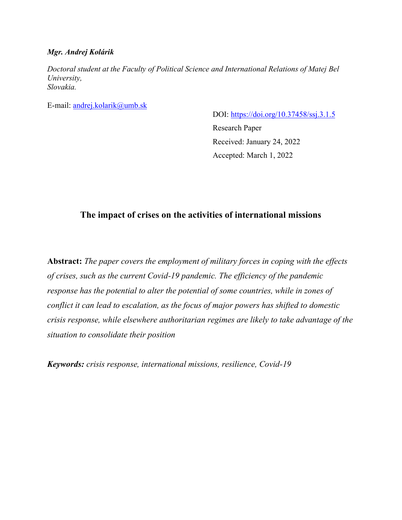## *Mgr. Andrej Kolárik*

*Doctoral student at the Faculty of Political Science and International Relations of Matej Bel University, Slovakia.* 

E-mail: [andrej.kolarik@umb.sk](mailto:andrej.kolarik@umb.sk)

DOI:<https://doi.org/10.37458/ssj.3.1.5> Research Paper Received: January 24, 2022 Accepted: March 1, 2022

# **The impact of crises on the activities of international missions**

**Abstract:** *The paper covers the employment of military forces in coping with the effects of crises, such as the current Covid-19 pandemic. The efficiency of the pandemic response has the potential to alter the potential of some countries, while in zones of conflict it can lead to escalation, as the focus of major powers has shifted to domestic crisis response, while elsewhere authoritarian regimes are likely to take advantage of the situation to consolidate their position*

*Keywords: crisis response, international missions, resilience, Covid-19*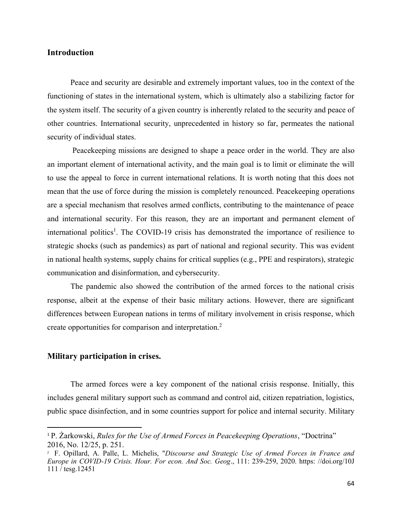## **Introduction**

Peace and security are desirable and extremely important values, too in the context of the functioning of states in the international system, which is ultimately also a stabilizing factor for the system itself. The security of a given country is inherently related to the security and peace of other countries. International security, unprecedented in history so far, permeates the national security of individual states.

Peacekeeping missions are designed to shape a peace order in the world. They are also an important element of international activity, and the main goal is to limit or eliminate the will to use the appeal to force in current international relations. It is worth noting that this does not mean that the use of force during the mission is completely renounced. Peacekeeping operations are a special mechanism that resolves armed conflicts, contributing to the maintenance of peace and international security. For this reason, they are an important and permanent element of international politics<sup>1</sup>. The COVID-19 crisis has demonstrated the importance of resilience to strategic shocks (such as pandemics) as part of national and regional security. This was evident in national health systems, supply chains for critical supplies (e.g., PPE and respirators), strategic communication and disinformation, and cybersecurity.

The pandemic also showed the contribution of the armed forces to the national crisis response, albeit at the expense of their basic military actions. However, there are significant differences between European nations in terms of military involvement in crisis response, which create opportunities for comparison and interpretation.<sup>2</sup>

#### **Military participation in crises.**

The armed forces were a key component of the national crisis response. Initially, this includes general military support such as command and control aid, citizen repatriation, logistics, public space disinfection, and in some countries support for police and internal security. Military

<sup>1</sup> P. Żarkowski, *Rules for the Use of Armed Forces in Peacekeeping Operations*, "Doctrina" 2016, No. 12/25, p. 251.

<sup>2</sup> F. Opillard, A. Palle, L. Michelis, "*Discourse and Strategic Use of Armed Forces in France and Europe in COVID-19 Crisis. Hour. For econ. And Soc. Geog*., 111: 239-259, 2020. https: //doi.org/10J  $111 / \text{tesg}.12451$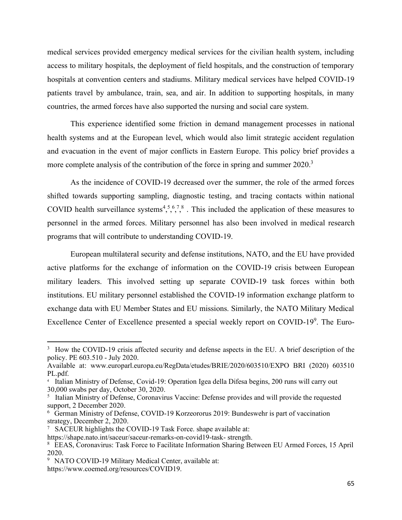medical services provided emergency medical services for the civilian health system, including access to military hospitals, the deployment of field hospitals, and the construction of temporary hospitals at convention centers and stadiums. Military medical services have helped COVID-19 patients travel by ambulance, train, sea, and air. In addition to supporting hospitals, in many countries, the armed forces have also supported the nursing and social care system.

This experience identified some friction in demand management processes in national health systems and at the European level, which would also limit strategic accident regulation and evacuation in the event of major conflicts in Eastern Europe. This policy brief provides a more complete analysis of the contribution of the force in spring and summer 2020.<sup>3</sup>

As the incidence of COVID-19 decreased over the summer, the role of the armed forces shifted towards supporting sampling, diagnostic testing, and tracing contacts within national COVID health surveillance systems<sup>4,5,6,7,8</sup>. This included the application of these measures to personnel in the armed forces. Military personnel has also been involved in medical research programs that will contribute to understanding COVID-19.

European multilateral security and defense institutions, NATO, and the EU have provided active platforms for the exchange of information on the COVID-19 crisis between European military leaders. This involved setting up separate COVID-19 task forces within both institutions. EU military personnel established the COVID-19 information exchange platform to exchange data with EU Member States and EU missions. Similarly, the NATO Military Medical Excellence Center of Excellence presented a special weekly report on COVID-19<sup>9</sup>. The Euro-

<sup>&</sup>lt;sup>3</sup> How the COVID-19 crisis affected security and defense aspects in the EU. A brief description of the policy. PE 603.510 - July 2020.

Available at: www.europarl.europa.eu/RegData/etudes/BRIE/2020/603510/EXPO BRI (2020) 603510 PL.pdf.

<sup>4</sup> Italian Ministry of Defense, Covid-19: Operation Igea della Difesa begins, 200 runs will carry out 30,000 swabs per day, October 30, 2020.

<sup>&</sup>lt;sup>5</sup> Italian Ministry of Defense, Coronavirus Vaccine: Defense provides and will provide the requested support, 2 December 2020.

<sup>6</sup> German Ministry of Defense, COVID-19 Korzeororus 2019: Bundeswehr is part of vaccination strategy, December 2, 2020.

<sup>7</sup> SACEUR highlights the COVID-19 Task Force. shape available at:

https://shape.nato.int/saceur/saceur-remarks-on-covid19-task- strength.

<sup>8</sup> EEAS, Coronavirus: Task Force to Facilitate Information Sharing Between EU Armed Forces, 15 April 2020.

<sup>9</sup> NATO COVID-19 Military Medical Center, available at:

https://www.coemed.org/resources/COVID19.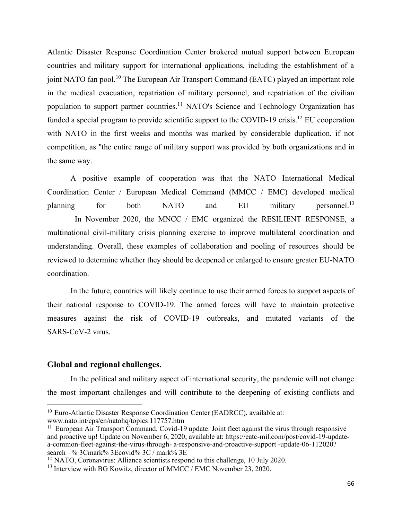Atlantic Disaster Response Coordination Center brokered mutual support between European countries and military support for international applications, including the establishment of a joint NATO fan pool.<sup>10</sup> The European Air Transport Command (EATC) played an important role in the medical evacuation, repatriation of military personnel, and repatriation of the civilian population to support partner countries.<sup>11</sup> NATO's Science and Technology Organization has funded a special program to provide scientific support to the COVID-19 crisis.<sup>12</sup> EU cooperation with NATO in the first weeks and months was marked by considerable duplication, if not competition, as "the entire range of military support was provided by both organizations and in the same way.

A positive example of cooperation was that the NATO International Medical Coordination Center / European Medical Command (MMCC / EMC) developed medical planning for both NATO and EU military personnel.<sup>13</sup> In November 2020, the MNCC / EMC organized the RESILIENT RESPONSE, a multinational civil-military crisis planning exercise to improve multilateral coordination and understanding. Overall, these examples of collaboration and pooling of resources should be reviewed to determine whether they should be deepened or enlarged to ensure greater EU-NATO coordination.

In the future, countries will likely continue to use their armed forces to support aspects of their national response to COVID-19. The armed forces will have to maintain protective measures against the risk of COVID-19 outbreaks, and mutated variants of the SARS-CoV-2 virus.

### **Global and regional challenges.**

In the political and military aspect of international security, the pandemic will not change the most important challenges and will contribute to the deepening of existing conflicts and

<sup>&</sup>lt;sup>10</sup> Euro-Atlantic Disaster Response Coordination Center (EADRCC), available at: www.nato.int/cps/en/natohq/topics 117757.htm

<sup>11</sup> European Air Transport Command, Covid-19 update: Joint fleet against the virus through responsive and proactive up! Update on November 6, 2020, available at: https://eatc-mil.com/post/covid-19-updatea-common-fleet-against-the-virus-through- a-responsive-and-proactive-support -update-06-112020? search =% 3Cmark% 3Ecovid% 3C / mark% 3E

<sup>12</sup> NATO, Coronavirus: Alliance scientists respond to this challenge, 10 July 2020.

 $^{13}$  Interview with BG Kowitz, director of MMCC / EMC November 23, 2020.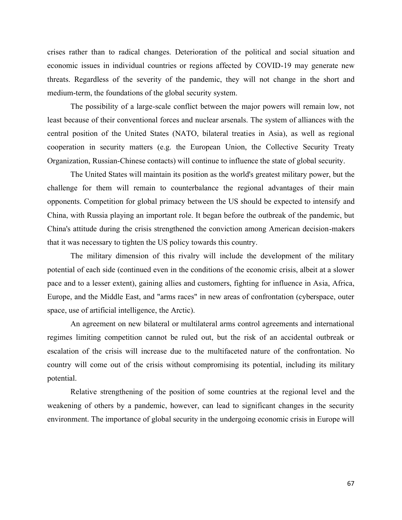crises rather than to radical changes. Deterioration of the political and social situation and economic issues in individual countries or regions affected by COVID-19 may generate new threats. Regardless of the severity of the pandemic, they will not change in the short and medium-term, the foundations of the global security system.

The possibility of a large-scale conflict between the major powers will remain low, not least because of their conventional forces and nuclear arsenals. The system of alliances with the central position of the United States (NATO, bilateral treaties in Asia), as well as regional cooperation in security matters (e.g. the European Union, the Collective Security Treaty Organization, Russian-Chinese contacts) will continue to influence the state of global security.

The United States will maintain its position as the world's greatest military power, but the challenge for them will remain to counterbalance the regional advantages of their main opponents. Competition for global primacy between the US should be expected to intensify and China, with Russia playing an important role. It began before the outbreak of the pandemic, but China's attitude during the crisis strengthened the conviction among American decision-makers that it was necessary to tighten the US policy towards this country.

The military dimension of this rivalry will include the development of the military potential of each side (continued even in the conditions of the economic crisis, albeit at a slower pace and to a lesser extent), gaining allies and customers, fighting for influence in Asia, Africa, Europe, and the Middle East, and "arms races" in new areas of confrontation (cyberspace, outer space, use of artificial intelligence, the Arctic).

An agreement on new bilateral or multilateral arms control agreements and international regimes limiting competition cannot be ruled out, but the risk of an accidental outbreak or escalation of the crisis will increase due to the multifaceted nature of the confrontation. No country will come out of the crisis without compromising its potential, including its military potential.

Relative strengthening of the position of some countries at the regional level and the weakening of others by a pandemic, however, can lead to significant changes in the security environment. The importance of global security in the undergoing economic crisis in Europe will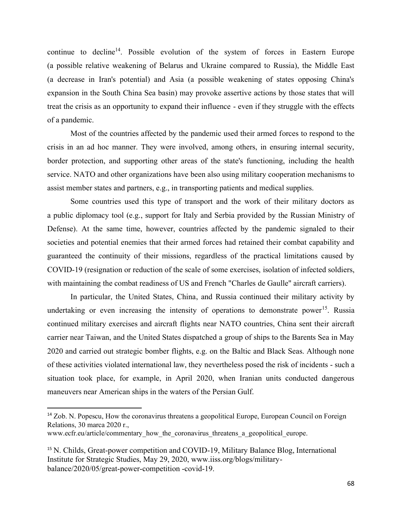continue to decline<sup>14</sup>. Possible evolution of the system of forces in Eastern Europe (a possible relative weakening of Belarus and Ukraine compared to Russia), the Middle East (a decrease in Iran's potential) and Asia (a possible weakening of states opposing China's expansion in the South China Sea basin) may provoke assertive actions by those states that will treat the crisis as an opportunity to expand their influence - even if they struggle with the effects of a pandemic.

Most of the countries affected by the pandemic used their armed forces to respond to the crisis in an ad hoc manner. They were involved, among others, in ensuring internal security, border protection, and supporting other areas of the state's functioning, including the health service. NATO and other organizations have been also using military cooperation mechanisms to assist member states and partners, e.g., in transporting patients and medical supplies.

Some countries used this type of transport and the work of their military doctors as a public diplomacy tool (e.g., support for Italy and Serbia provided by the Russian Ministry of Defense). At the same time, however, countries affected by the pandemic signaled to their societies and potential enemies that their armed forces had retained their combat capability and guaranteed the continuity of their missions, regardless of the practical limitations caused by COVID-19 (resignation or reduction of the scale of some exercises, isolation of infected soldiers, with maintaining the combat readiness of US and French "Charles de Gaulle" aircraft carriers).

In particular, the United States, China, and Russia continued their military activity by undertaking or even increasing the intensity of operations to demonstrate power<sup>15</sup>. Russia continued military exercises and aircraft flights near NATO countries, China sent their aircraft carrier near Taiwan, and the United States dispatched a group of ships to the Barents Sea in May 2020 and carried out strategic bomber flights, e.g. on the Baltic and Black Seas. Although none of these activities violated international law, they nevertheless posed the risk of incidents - such a situation took place, for example, in April 2020, when Iranian units conducted dangerous maneuvers near American ships in the waters of the Persian Gulf.

<sup>&</sup>lt;sup>14</sup> Zob. N. Popescu, How the coronavirus threatens a geopolitical Europe, European Council on Foreign Relations, 30 marca 2020 r.,

www.ecfr.eu/article/commentary\_how\_the\_coronavirus\_threatens\_a\_geopolitical\_europe.

<sup>&</sup>lt;sup>15</sup> N. Childs, Great-power competition and COVID-19, Military Balance Blog, International Institute for Strategic Studies, May 29, 2020, www.iiss.org/blogs/militarybalance/2020/05/great-power-competition -covid-19.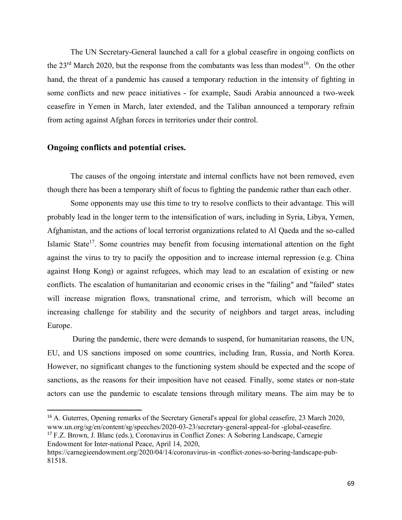The UN Secretary-General launched a call for a global ceasefire in ongoing conflicts on the  $23<sup>rd</sup>$  March 2020, but the response from the combatants was less than modest<sup>16</sup>. On the other hand, the threat of a pandemic has caused a temporary reduction in the intensity of fighting in some conflicts and new peace initiatives - for example, Saudi Arabia announced a two-week ceasefire in Yemen in March, later extended, and the Taliban announced a temporary refrain from acting against Afghan forces in territories under their control.

## **Ongoing conflicts and potential crises.**

The causes of the ongoing interstate and internal conflicts have not been removed, even though there has been a temporary shift of focus to fighting the pandemic rather than each other.

Some opponents may use this time to try to resolve conflicts to their advantage. This will probably lead in the longer term to the intensification of wars, including in Syria, Libya, Yemen, Afghanistan, and the actions of local terrorist organizations related to Al Qaeda and the so-called Islamic State<sup>17</sup>. Some countries may benefit from focusing international attention on the fight against the virus to try to pacify the opposition and to increase internal repression (e.g. China against Hong Kong) or against refugees, which may lead to an escalation of existing or new conflicts. The escalation of humanitarian and economic crises in the "failing" and "failed" states will increase migration flows, transnational crime, and terrorism, which will become an increasing challenge for stability and the security of neighbors and target areas, including Europe.

During the pandemic, there were demands to suspend, for humanitarian reasons, the UN, EU, and US sanctions imposed on some countries, including Iran, Russia, and North Korea. However, no significant changes to the functioning system should be expected and the scope of sanctions, as the reasons for their imposition have not ceased. Finally, some states or non-state actors can use the pandemic to escalate tensions through military means. The aim may be to

Endowment for Inter-national Peace, April 14, 2020,

<sup>&</sup>lt;sup>16</sup> A. Guterres, Opening remarks of the Secretary General's appeal for global ceasefire, 23 March 2020, www.un.org/sg/en/content/sg/speeches/2020-03-23/secretary-general-appeal-for -global-ceasefire. <sup>17</sup> F.Z. Brown, J. Blanc (eds.), Coronavirus in Conflict Zones: A Sobering Landscape, Carnegie

https://carnegieendowment.org/2020/04/14/coronavirus-in -conflict-zones-so-bering-landscape-pub-81518.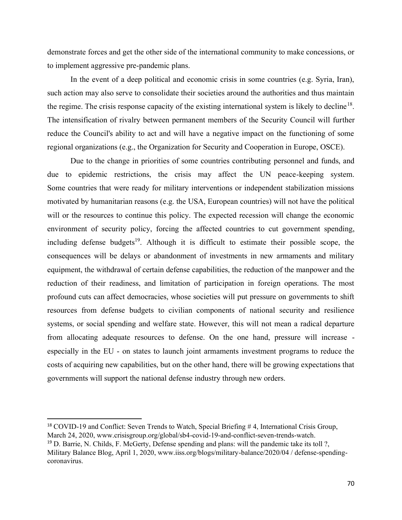demonstrate forces and get the other side of the international community to make concessions, or to implement aggressive pre-pandemic plans.

In the event of a deep political and economic crisis in some countries (e.g. Syria, Iran), such action may also serve to consolidate their societies around the authorities and thus maintain the regime. The crisis response capacity of the existing international system is likely to decline<sup>18</sup>. The intensification of rivalry between permanent members of the Security Council will further reduce the Council's ability to act and will have a negative impact on the functioning of some regional organizations (e.g., the Organization for Security and Cooperation in Europe, OSCE).

Due to the change in priorities of some countries contributing personnel and funds, and due to epidemic restrictions, the crisis may affect the UN peace-keeping system. Some countries that were ready for military interventions or independent stabilization missions motivated by humanitarian reasons (e.g. the USA, European countries) will not have the political will or the resources to continue this policy. The expected recession will change the economic environment of security policy, forcing the affected countries to cut government spending, including defense budgets<sup>19</sup>. Although it is difficult to estimate their possible scope, the consequences will be delays or abandonment of investments in new armaments and military equipment, the withdrawal of certain defense capabilities, the reduction of the manpower and the reduction of their readiness, and limitation of participation in foreign operations. The most profound cuts can affect democracies, whose societies will put pressure on governments to shift resources from defense budgets to civilian components of national security and resilience systems, or social spending and welfare state. However, this will not mean a radical departure from allocating adequate resources to defense. On the one hand, pressure will increase especially in the EU - on states to launch joint armaments investment programs to reduce the costs of acquiring new capabilities, but on the other hand, there will be growing expectations that governments will support the national defense industry through new orders.

<sup>&</sup>lt;sup>18</sup> COVID-19 and Conflict: Seven Trends to Watch, Special Briefing # 4, International Crisis Group, March 24, 2020, www.crisisgroup.org/global/sb4-covid-19-and-conflict-seven-trends-watch.

<sup>&</sup>lt;sup>19</sup> D. Barrie, N. Childs, F. McGerty, Defense spending and plans: will the pandemic take its toll ?, Military Balance Blog, April 1, 2020, www.iiss.org/blogs/military-balance/2020/04 / defense-spendingcoronavirus.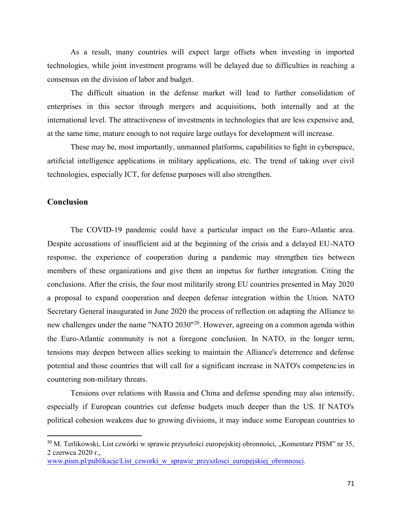As a result, many countries will expect large offsets when investing in imported technologies, while joint investment programs will be delayed due to difficulties in reaching a consensus on the division of labor and budget.

The difficult situation in the defense market will lead to further consolidation of enterprises in this sector through mergers and acquisitions, both internally and at the international level. The attractiveness of investments in technologies that are less expensive and, at the same time, mature enough to not require large outlays for development will increase.

These may be, most importantly, unmanned platforms, capabilities to fight in cyberspace, artificial intelligence applications in military applications, etc. The trend of taking over civil technologies, especially ICT, for defense purposes will also strengthen.

### **Conclusion**

The COVID-19 pandemic could have a particular impact on the Euro-Atlantic area. Despite accusations of insufficient aid at the beginning of the crisis and a delayed EU-NATO response, the experience of cooperation during a pandemic may strengthen ties between members of these organizations and give them an impetus for further integration. Citing the conclusions. After the crisis, the four most militarily strong EU countries presented in May 2020 a proposal to expand cooperation and deepen defense integration within the Union. NATO Secretary General inaugurated in June 2020 the process of reflection on adapting the Alliance to new challenges under the name "NATO 2030"<sup>20</sup>. However, agreeing on a common agenda within the Euro-Atlantic community is not a foregone conclusion. In NATO, in the longer term, tensions may deepen between allies seeking to maintain the Alliance's deterrence and defense potential and those countries that will call for a significant increase in NATO's competencies in countering non-military threats.

Tensions over relations with Russia and China and defense spending may also intensify, especially if European countries cut defense budgets much deeper than the US. If NATO's political cohesion weakens due to growing divisions, it may induce some European countries to

<sup>&</sup>lt;sup>20</sup> M. Terlikowski, List czwórki w sprawie przyszłości europejskiej obronności, "Komentarz PISM" nr 35, 2 czerwca 2020 r.,

www.pism.pl/publikacje/List czworki w sprawie przyszlosci europejskiej obronnosci.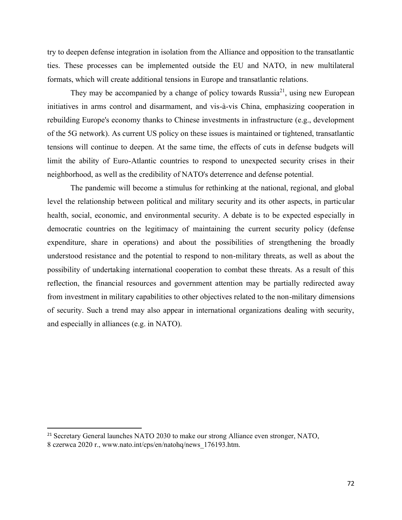try to deepen defense integration in isolation from the Alliance and opposition to the transatlantic ties. These processes can be implemented outside the EU and NATO, in new multilateral formats, which will create additional tensions in Europe and transatlantic relations.

They may be accompanied by a change of policy towards Russia<sup>21</sup>, using new European initiatives in arms control and disarmament, and vis-à-vis China, emphasizing cooperation in rebuilding Europe's economy thanks to Chinese investments in infrastructure (e.g., development of the 5G network). As current US policy on these issues is maintained or tightened, transatlantic tensions will continue to deepen. At the same time, the effects of cuts in defense budgets will limit the ability of Euro-Atlantic countries to respond to unexpected security crises in their neighborhood, as well as the credibility of NATO's deterrence and defense potential.

The pandemic will become a stimulus for rethinking at the national, regional, and global level the relationship between political and military security and its other aspects, in particular health, social, economic, and environmental security. A debate is to be expected especially in democratic countries on the legitimacy of maintaining the current security policy (defense expenditure, share in operations) and about the possibilities of strengthening the broadly understood resistance and the potential to respond to non-military threats, as well as about the possibility of undertaking international cooperation to combat these threats. As a result of this reflection, the financial resources and government attention may be partially redirected away from investment in military capabilities to other objectives related to the non-military dimensions of security. Such a trend may also appear in international organizations dealing with security, and especially in alliances (e.g. in NATO).

<sup>&</sup>lt;sup>21</sup> Secretary General launches NATO 2030 to make our strong Alliance even stronger, NATO, 8 czerwca 2020 r., www.nato.int/cps/en/natohq/news\_176193.htm.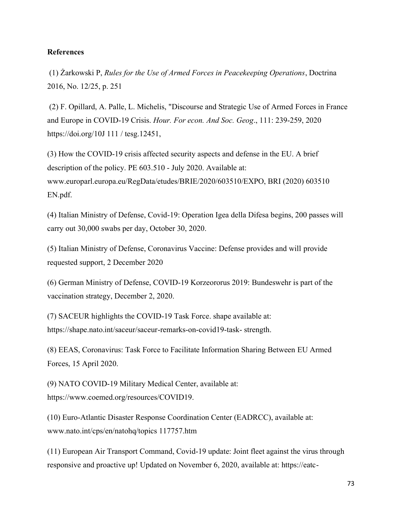### **References**

(1) Żarkowski P, *Rules for the Use of Armed Forces in Peacekeeping Operations*, Doctrina 2016, No. 12/25, p. 251

(2) F. Opillard, A. Palle, L. Michelis, "Discourse and Strategic Use of Armed Forces in France and Europe in COVID-19 Crisis. *Hour. For econ. And Soc. Geog*., 111: 239-259, 2020 https://doi.org/10J 111 / tesg.12451,

(3) How the COVID-19 crisis affected security aspects and defense in the EU. A brief description of the policy. PE 603.510 - July 2020. Available at: www.europarl.europa.eu/RegData/etudes/BRIE/2020/603510/EXPO, BRI (2020) 603510 EN.pdf.

(4) Italian Ministry of Defense, Covid-19: Operation Igea della Difesa begins, 200 passes will carry out 30,000 swabs per day, October 30, 2020.

(5) Italian Ministry of Defense, Coronavirus Vaccine: Defense provides and will provide requested support, 2 December 2020

(6) German Ministry of Defense, COVID-19 Korzeororus 2019: Bundeswehr is part of the vaccination strategy, December 2, 2020.

(7) SACEUR highlights the COVID-19 Task Force. shape available at: https://shape.nato.int/saceur/saceur-remarks-on-covid19-task- strength.

(8) EEAS, Coronavirus: Task Force to Facilitate Information Sharing Between EU Armed Forces, 15 April 2020.

(9) NATO COVID-19 Military Medical Center, available at: https://www.coemed.org/resources/COVID19.

(10) Euro-Atlantic Disaster Response Coordination Center (EADRCC), available at: www.nato.int/cps/en/natohq/topics 117757.htm

(11) European Air Transport Command, Covid-19 update: Joint fleet against the virus through responsive and proactive up! Updated on November 6, 2020, available at: https://eatc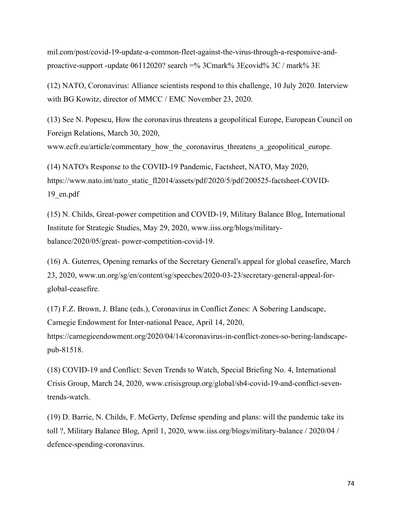mil.com/post/covid-19-update-a-common-fleet-against-the-virus-through-a-responsive-andproactive-support -update  $06112020$ ? search =% 3Cmark% 3Ecovid% 3C / mark% 3E

(12) NATO, Coronavirus: Alliance scientists respond to this challenge, 10 July 2020. Interview with BG Kowitz, director of MMCC / EMC November 23, 2020.

(13) See N. Popescu, How the coronavirus threatens a geopolitical Europe, European Council on Foreign Relations, March 30, 2020, www.ecfr.eu/article/commentary how the coronavirus threatens a geopolitical europe.

(14) NATO's Response to the COVID-19 Pandemic, Factsheet, NATO, May 2020, https://www.nato.int/nato\_static\_fl2014/assets/pdf/2020/5/pdf/200525-factsheet-COVID-19\_en.pdf

(15) N. Childs, Great-power competition and COVID-19, Military Balance Blog, International Institute for Strategic Studies, May 29, 2020, www.iiss.org/blogs/militarybalance/2020/05/great- power-competition-covid-19.

(16) A. Guterres, Opening remarks of the Secretary General's appeal for global ceasefire, March 23, 2020, www.un.org/sg/en/content/sg/speeches/2020-03-23/secretary-general-appeal-forglobal-ceasefire.

(17) F.Z. Brown, J. Blanc (eds.), Coronavirus in Conflict Zones: A Sobering Landscape, Carnegie Endowment for Inter-national Peace, April 14, 2020, https://carnegieendowment.org/2020/04/14/coronavirus-in-conflict-zones-so-bering-landscapepub-81518.

(18) COVID-19 and Conflict: Seven Trends to Watch, Special Briefing No. 4, International Crisis Group, March 24, 2020, www.crisisgroup.org/global/sb4-covid-19-and-conflict-seventrends-watch.

(19) D. Barrie, N. Childs, F. McGerty, Defense spending and plans: will the pandemic take its toll ?, Military Balance Blog, April 1, 2020, www.iiss.org/blogs/military-balance / 2020/04 / defence-spending-coronavirus.